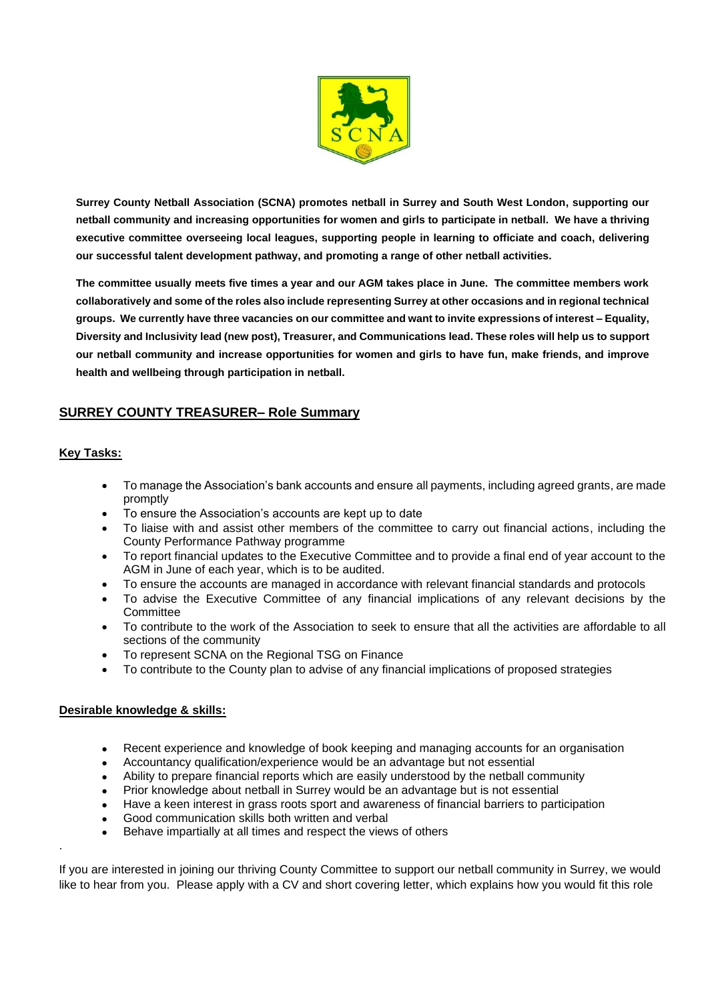

**Surrey County Netball Association (SCNA) promotes netball in Surrey and South West London, supporting our netball community and increasing opportunities for women and girls to participate in netball. We have a thriving executive committee overseeing local leagues, supporting people in learning to officiate and coach, delivering our successful talent development pathway, and promoting a range of other netball activities.** 

**The committee usually meets five times a year and our AGM takes place in June. The committee members work collaboratively and some of the roles also include representing Surrey at other occasions and in regional technical groups. We currently have three vacancies on our committee and want to invite expressions of interest – Equality, Diversity and Inclusivity lead (new post), Treasurer, and Communications lead. These roles will help us to support our netball community and increase opportunities for women and girls to have fun, make friends, and improve health and wellbeing through participation in netball.**

## **SURREY COUNTY TREASURER– Role Summary**

## **Key Tasks:**

.

- To manage the Association's bank accounts and ensure all payments, including agreed grants, are made promptly
- To ensure the Association's accounts are kept up to date
- To liaise with and assist other members of the committee to carry out financial actions, including the County Performance Pathway programme
- To report financial updates to the Executive Committee and to provide a final end of year account to the AGM in June of each year, which is to be audited.
- To ensure the accounts are managed in accordance with relevant financial standards and protocols
- To advise the Executive Committee of any financial implications of any relevant decisions by the **Committee**
- To contribute to the work of the Association to seek to ensure that all the activities are affordable to all sections of the community
- To represent SCNA on the Regional TSG on Finance
- To contribute to the County plan to advise of any financial implications of proposed strategies

## **Desirable knowledge & skills:**

- Recent experience and knowledge of book keeping and managing accounts for an organisation
- Accountancy qualification/experience would be an advantage but not essential
- Ability to prepare financial reports which are easily understood by the netball community
- Prior knowledge about netball in Surrey would be an advantage but is not essential
- Have a keen interest in grass roots sport and awareness of financial barriers to participation
- Good communication skills both written and verbal
- Behave impartially at all times and respect the views of others

If you are interested in joining our thriving County Committee to support our netball community in Surrey, we would like to hear from you. Please apply with a CV and short covering letter, which explains how you would fit this role